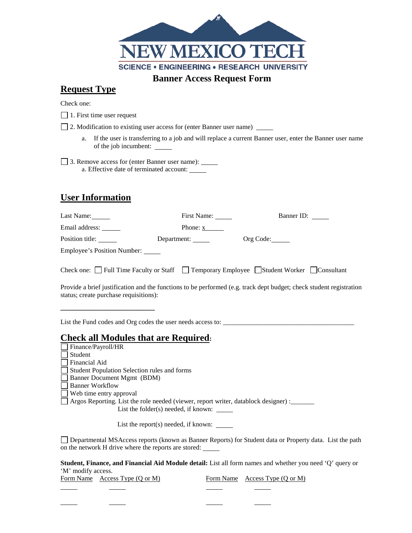

### **Request Type**

Check one:

1. First time user request

2. Modification to existing user access for (enter Banner user name)

a. If the user is transferring to a job and will replace a current Banner user, enter the Banner user name of the job incumbent:

3. Remove access for (enter Banner user name): a. Effective date of terminated account:

# **User Information**

| Last Name:                             | First Name:        | Banner ID:                                                                                                                                                                                                                            |
|----------------------------------------|--------------------|---------------------------------------------------------------------------------------------------------------------------------------------------------------------------------------------------------------------------------------|
| Email address: ______                  | Phone: x           |                                                                                                                                                                                                                                       |
| Position title: ______                 | Department: ______ | Org Code:                                                                                                                                                                                                                             |
| Employee's Position Number:            |                    |                                                                                                                                                                                                                                       |
| status; create purchase requisitions): |                    | Check one: $\Box$ Full Time Faculty or Staff $\Box$ Temporary Employee $\Box$ Student Worker $\Box$ Consultant<br>Provide a brief justification and the functions to be performed (e.g. track dept budget; check student registration |

List the Fund codes and Org codes the user needs access to: \_\_\_\_\_\_\_\_\_\_\_\_\_\_\_\_\_\_\_\_\_\_\_\_\_\_\_\_\_\_\_\_\_\_\_\_\_\_\_

### **Check all Modules that are Required:**

on the network H drive where the reports are stored:

l

l

Finance/Payroll/HR Student Financial Aid Student Population Selection rules and forms Banner Document Mgmt (BDM) Banner Workflow Web time entry approval  $\Box$  Argos Reporting. List the role needed (viewer, report writer, datablock designer) : List the folder(s) needed, if known: \_\_\_\_\_\_ List the report $(s)$  needed, if known:  $\_\_$ Departmental MSAccess reports (known as Banner Reports) for Student data or Property data. List the path

**Student, Finance, and Financial Aid Module detail:** List all form names and whether you need 'Q' query or 'M' modify access.

Form Name Access Type (Q or M) Form Name Access Type (Q or M)